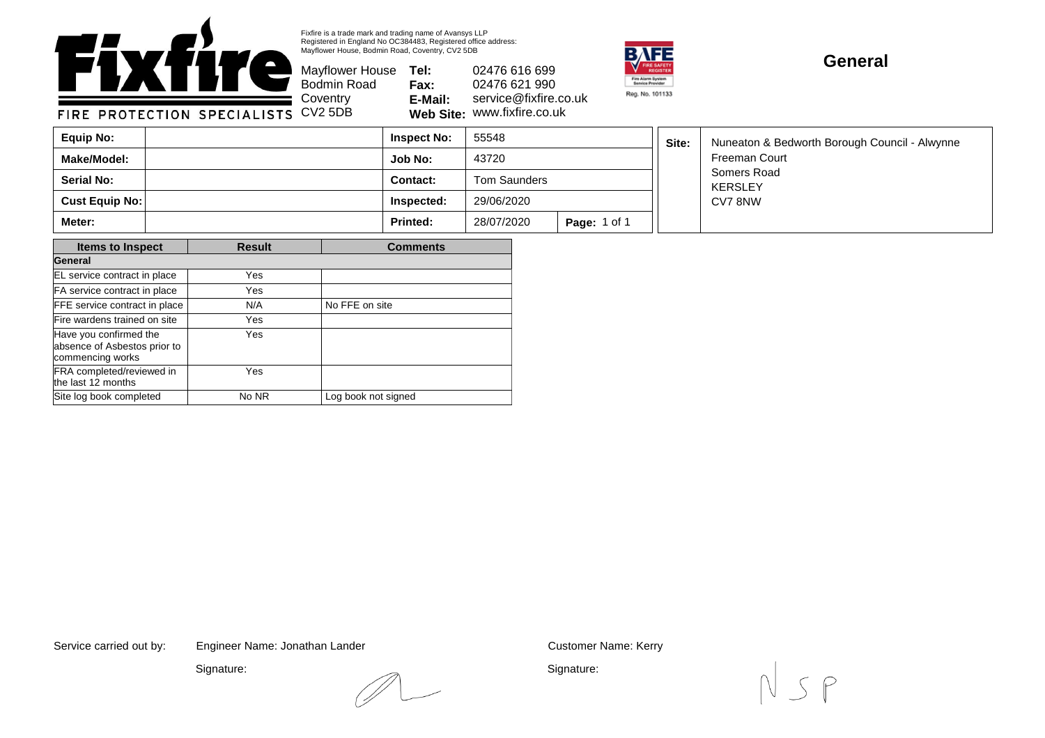

Fixfire is a trade mark and trading name of Avansys LLP Registered in England No OC384483, Registered office address: Mayflower House, Bodmin Road, Coventry, CV2 5DB

Bodmin Road **Coventry** 

Mayflower House **Tel: Fax: E-Mail: Web Site:** www.fixfire.co.uk 02476 616 699 02476 621 990 service@fixfire.co.uk



## **General**

FIRE PROTECTION SPECIALISTS CV2 5DB

| Equip No:         | <b>Inspect No:</b> | 55548        |                     | Site: | Nuneaton & Bedworth Borough Council - Alwynne |
|-------------------|--------------------|--------------|---------------------|-------|-----------------------------------------------|
| Make/Model:       | Job No:            | 43720        |                     |       | <b>Freeman Court</b>                          |
| <b>Serial No:</b> | <b>Contact:</b>    | Tom Saunders |                     |       | Somers Road<br>KERSLEY                        |
| Cust Equip No:    | Inspected:         | 29/06/2020   |                     |       | CV7 8NW                                       |
| Meter:            | <b>Printed:</b>    | 28/07/2020   | <b>Page: 1 of 1</b> |       |                                               |

| <b>Items to Inspect</b>                                                    | <b>Result</b> | <b>Comments</b>     |  |  |
|----------------------------------------------------------------------------|---------------|---------------------|--|--|
| General                                                                    |               |                     |  |  |
| EL service contract in place                                               | Yes           |                     |  |  |
| FA service contract in place                                               | Yes           |                     |  |  |
| FFE service contract in place                                              | N/A           | No FFE on site      |  |  |
| Fire wardens trained on site                                               | Yes           |                     |  |  |
| Have you confirmed the<br>absence of Asbestos prior to<br>commencing works | Yes           |                     |  |  |
| FRA completed/reviewed in<br>the last 12 months                            | Yes           |                     |  |  |
| Site log book completed                                                    | No NR         | Log book not signed |  |  |

Service carried out by: Customer Name: Kerry Engineer Name: Jonathan Lander

Signature:

Signature: